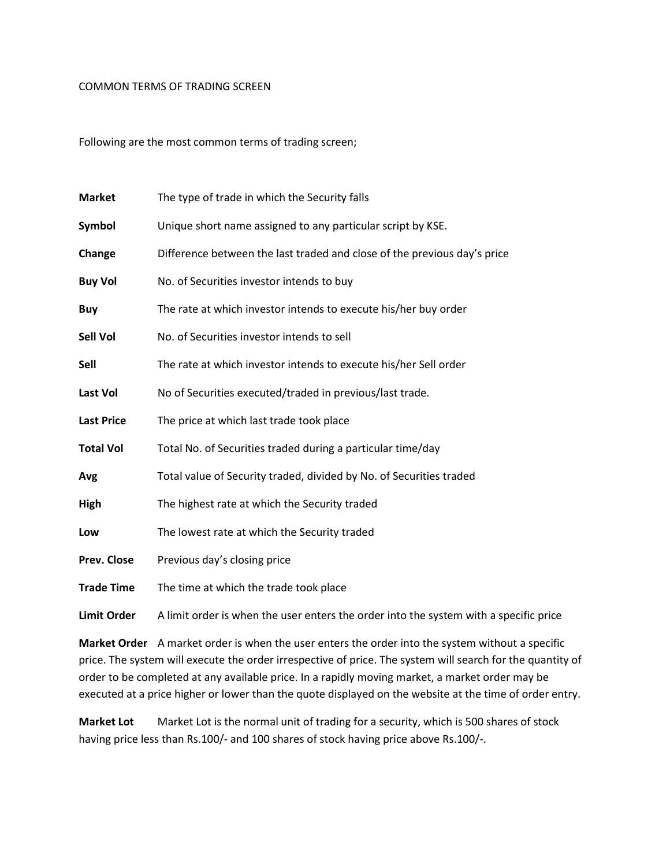## COMMON TERMS OF TRADING SCREEN

Following are the most common terms of trading screen;

| <b>Market</b>      | The type of trade in which the Security falls                                         |
|--------------------|---------------------------------------------------------------------------------------|
| Symbol             | Unique short name assigned to any particular script by KSE.                           |
| Change             | Difference between the last traded and close of the previous day's price              |
| <b>Buy Vol</b>     | No. of Securities investor intends to buy                                             |
| <b>Buy</b>         | The rate at which investor intends to execute his/her buy order                       |
| Sell Vol           | No. of Securities investor intends to sell                                            |
| Sell               | The rate at which investor intends to execute his/her Sell order                      |
| <b>Last Vol</b>    | No of Securities executed/traded in previous/last trade.                              |
| <b>Last Price</b>  | The price at which last trade took place                                              |
| <b>Total Vol</b>   | Total No. of Securities traded during a particular time/day                           |
| Avg                | Total value of Security traded, divided by No. of Securities traded                   |
| High               | The highest rate at which the Security traded                                         |
| Low                | The lowest rate at which the Security traded                                          |
| Prev. Close        | Previous day's closing price                                                          |
| <b>Trade Time</b>  | The time at which the trade took place                                                |
| <b>Limit Order</b> | A limit order is when the user enters the order into the system with a specific price |

Market Order A market order is when the user enters the order into the system without a specific price. The system will execute the order irrespective of price. The system will search for the quantity of order to be completed at any available price. In a rapidly moving market, a market order may be executed at a price higher or lower than the quote displayed on the website at the time of order entry.

Market Lot Market Lot is the normal unit of trading for a security, which is 500 shares of stock having price less than Rs.100/- and 100 shares of stock having price above Rs.100/-.